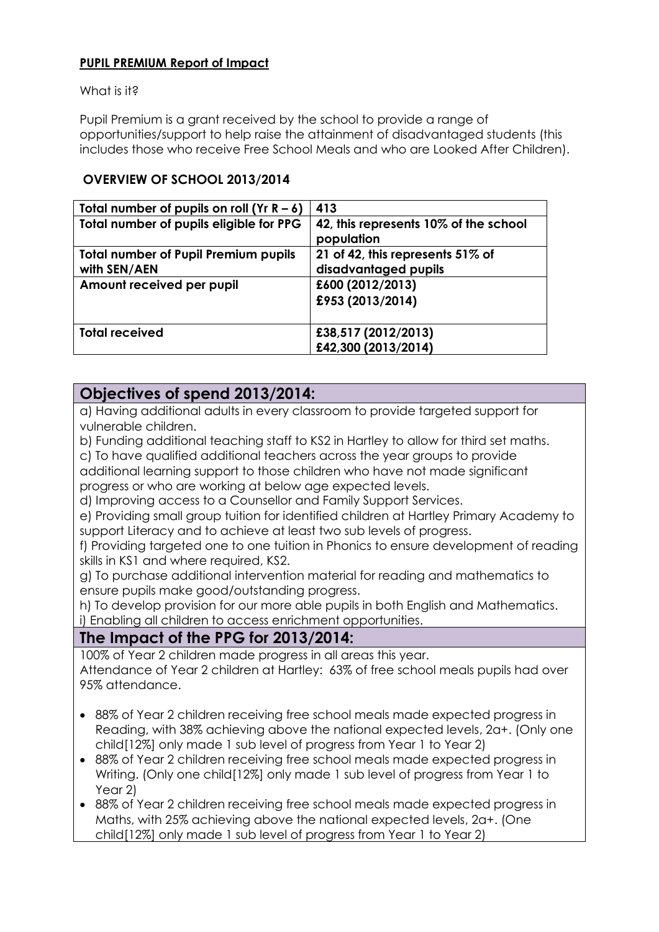#### **PUPIL PREMIUM Report of Impact**

What is it?

Pupil Premium is a grant received by the school to provide a range of opportunities/support to help raise the attainment of disadvantaged students (this includes those who receive Free School Meals and who are Looked After Children).

### **OVERVIEW OF SCHOOL 2013/2014**

| Total number of pupils on roll (Yr $R - 6$ )                | 413                                                      |
|-------------------------------------------------------------|----------------------------------------------------------|
| Total number of pupils eligible for PPG                     | 42, this represents 10% of the school<br>population      |
| <b>Total number of Pupil Premium pupils</b><br>with SEN/AEN | 21 of 42, this represents 51% of<br>disadvantaged pupils |
| Amount received per pupil                                   | £600 (2012/2013)<br>£953 (2013/2014)                     |
| <b>Total received</b>                                       | £38,517 (2012/2013)<br>£42,300 (2013/2014)               |

## **Objectives of spend 2013/2014:**

a) Having additional adults in every classroom to provide targeted support for vulnerable children.

b) Funding additional teaching staff to KS2 in Hartley to allow for third set maths.

c) To have qualified additional teachers across the year groups to provide

additional learning support to those children who have not made significant progress or who are working at below age expected levels.

d) Improving access to a Counsellor and Family Support Services.

e) Providing small group tuition for identified children at Hartley Primary Academy to support Literacy and to achieve at least two sub levels of progress.

f) Providing targeted one to one tuition in Phonics to ensure development of reading skills in KS1 and where required, KS2.

g) To purchase additional intervention material for reading and mathematics to ensure pupils make good/outstanding progress.

h) To develop provision for our more able pupils in both English and Mathematics. i) Enabling all children to access enrichment opportunities.

## **The Impact of the PPG for 2013/2014:**

100% of Year 2 children made progress in all areas this year.

Attendance of Year 2 children at Hartley: 63% of free school meals pupils had over 95% attendance.

- 88% of Year 2 children receiving free school meals made expected progress in Reading, with 38% achieving above the national expected levels, 2a+. (Only one child[12%] only made 1 sub level of progress from Year 1 to Year 2)
- 88% of Year 2 children receiving free school meals made expected progress in Writing. (Only one child[12%] only made 1 sub level of progress from Year 1 to Year 2)
- 88% of Year 2 children receiving free school meals made expected progress in Maths, with 25% achieving above the national expected levels, 2a+. (One child[12%] only made 1 sub level of progress from Year 1 to Year 2)